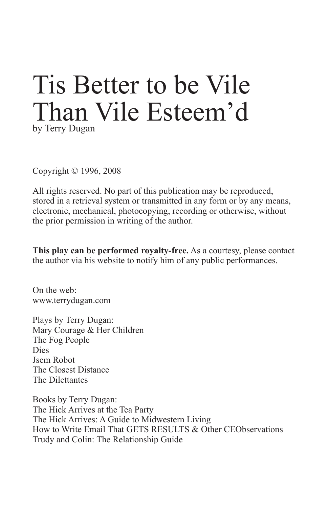# Tis Better to be Vile Than Vile Esteem'd by Terry Dugan

Copyright © 1996, 2008

All rights reserved. No part of this publication may be reproduced, stored in a retrieval system or transmitted in any form or by any means, electronic, mechanical, photocopying, recording or otherwise, without the prior permission in writing of the author.

**This play can be performed royalty-free.** As a courtesy, please contact the author via his website to notify him of any public performances.

On the web: www.terrydugan.com

Plays by Terry Dugan: Mary Courage & Her Children The Fog People Dies Jsem Robot The Closest Distance The Dilettantes

Books by Terry Dugan: The Hick Arrives at the Tea Party The Hick Arrives: A Guide to Midwestern Living How to Write Email That GETS RESULTS & Other CEObservations Trudy and Colin: The Relationship Guide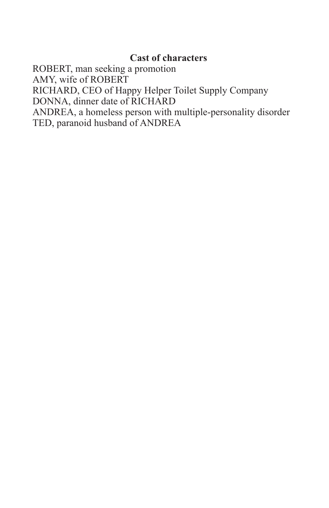### **Cast of characters**

ROBERT, man seeking a promotion AMY, wife of ROBERT RICHARD, CEO of Happy Helper Toilet Supply Company DONNA, dinner date of RICHARD ANDREA, a homeless person with multiple-personality disorder TED, paranoid husband of ANDREA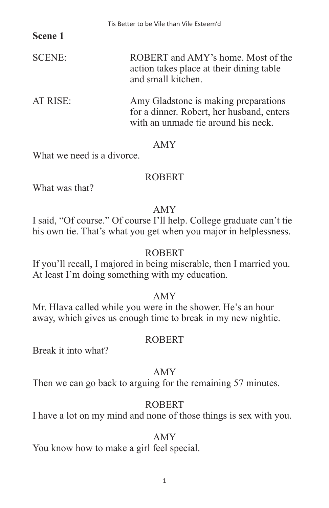### **Scene 1**

| <b>SCENE:</b> | ROBERT and AMY's home. Most of the       |
|---------------|------------------------------------------|
|               | action takes place at their dining table |
|               | and small kitchen.                       |

AT RISE: Amy Gladstone is making preparations for a dinner. Robert, her husband, enters with an unmade tie around his neck.

#### AMY

What we need is a divorce.

### ROBERT

What was that?

### AMY

I said, "Of course." Of course I'll help. College graduate can't tie his own tie. That's what you get when you major in helplessness.

### **ROBERT**

If you'll recall, I majored in being miserable, then I married you. At least I'm doing something with my education.

### AMY

Mr. Hlava called while you were in the shower. He's an hour away, which gives us enough time to break in my new nightie.

### ROBERT

Break it into what?

# AMY

Then we can go back to arguing for the remaining 57 minutes.

# ROBERT

I have a lot on my mind and none of those things is sex with you.

### AMY

You know how to make a girl feel special.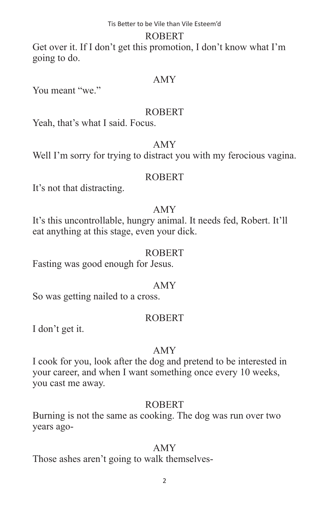#### ROBERT

Get over it. If I don't get this promotion, I don't know what I'm going to do.

#### AMY

You meant "we."

#### ROBERT

Yeah, that's what I said. Focus.

### AMY

Well I'm sorry for trying to distract you with my ferocious vagina.

### ROBERT

It's not that distracting.

### AMY

It's this uncontrollable, hungry animal. It needs fed, Robert. It'll eat anything at this stage, even your dick.

#### ROBERT

Fasting was good enough for Jesus.

### AMY

So was getting nailed to a cross.

### ROBERT

I don't get it.

### AMY

I cook for you, look after the dog and pretend to be interested in your career, and when I want something once every 10 weeks, you cast me away.

# ROBERT

Burning is not the same as cooking. The dog was run over two years ago-

# AMY

Those ashes aren't going to walk themselves-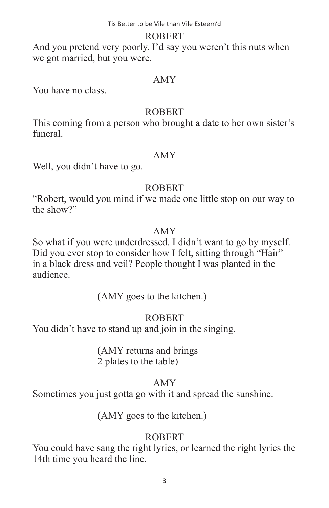#### ROBERT

And you pretend very poorly. I'd say you weren't this nuts when we got married, but you were.

#### AMY

You have no class.

#### ROBERT

This coming from a person who brought a date to her own sister's funeral.

#### AMY

Well, you didn't have to go.

# ROBERT

"Robert, would you mind if we made one little stop on our way to the show?"

### AMY

So what if you were underdressed. I didn't want to go by myself. Did you ever stop to consider how I felt, sitting through "Hair" in a black dress and veil? People thought I was planted in the audience.

(AMY goes to the kitchen.)

# ROBERT

You didn't have to stand up and join in the singing.

 (AMY returns and brings 2 plates to the table)

# AMY

Sometimes you just gotta go with it and spread the sunshine.

(AMY goes to the kitchen.)

# ROBERT

You could have sang the right lyrics, or learned the right lyrics the 14th time you heard the line.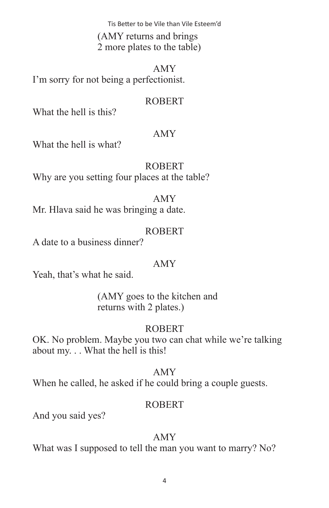(AMY returns and brings 2 more plates to the table)

AMY I'm sorry for not being a perfectionist.

#### ROBERT

What the hell is this?

### AMY

What the hell is what?

# ROBERT

Why are you setting four places at the table?

### AMY

Mr. Hlava said he was bringing a date.

# ROBERT

A date to a business dinner?

# AMY

Yeah, that's what he said.

 (AMY goes to the kitchen and returns with 2 plates.)

# ROBERT

OK. No problem. Maybe you two can chat while we're talking about my. . . What the hell is this!

### AMY

When he called, he asked if he could bring a couple guests.

# ROBERT

And you said yes?

# AMY

What was I supposed to tell the man you want to marry? No?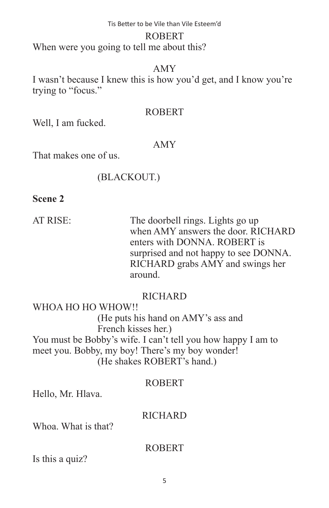#### ROBERT

When were you going to tell me about this?

#### AMY

I wasn't because I knew this is how you'd get, and I know you're trying to "focus."

#### ROBERT

Well, I am fucked.

#### AMY

That makes one of us.

#### (BLACKOUT.)

**Scene 2**

AT RISE: The doorbell rings. Lights go up when AMY answers the door. RICHARD enters with DONNA. ROBERT is surprised and not happy to see DONNA. RICHARD grabs AMY and swings her around.

### **RICHARD**

WHOA HO HO WHOW!! (He puts his hand on AMY's ass and French kisses her.) You must be Bobby's wife. I can't tell you how happy I am to meet you. Bobby, my boy! There's my boy wonder! (He shakes ROBERT's hand.)

#### ROBERT

Hello, Mr. Hlava.

#### **RICHARD**

Whoa. What is that?

#### ROBERT

Is this a quiz?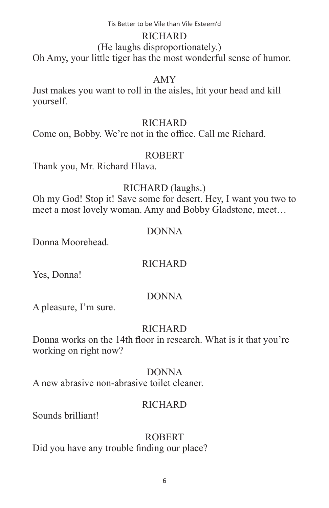#### RICHARD

#### (He laughs disproportionately.)

Oh Amy, your little tiger has the most wonderful sense of humor.

#### AMY

Just makes you want to roll in the aisles, hit your head and kill yourself.

#### **RICHARD**

Come on, Bobby. We're not in the office. Call me Richard.

#### ROBERT

Thank you, Mr. Richard Hlava.

#### RICHARD (laughs.)

Oh my God! Stop it! Save some for desert. Hey, I want you two to meet a most lovely woman. Amy and Bobby Gladstone, meet…

#### DONNA

Donna Moorehead.

### **RICHARD**

Yes, Donna!

### DONNA

A pleasure, I'm sure.

### **RICHARD**

Donna works on the 14th floor in research. What is it that you're working on right now?

#### DONNA

A new abrasive non-abrasive toilet cleaner.

#### **RICHARD**

Sounds brilliant!

#### ROBERT

Did you have any trouble finding our place?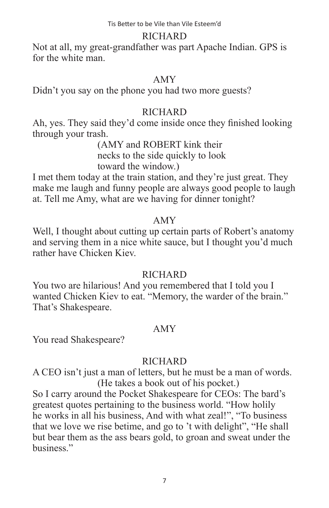#### RICHARD

Not at all, my great-grandfather was part Apache Indian. GPS is for the white man.

#### AMY

Didn't you say on the phone you had two more guests?

### **RICHARD**

Ah, yes. They said they'd come inside once they finished looking through your trash.

 (AMY and ROBERT kink their necks to the side quickly to look toward the window.)

I met them today at the train station, and they're just great. They make me laugh and funny people are always good people to laugh at. Tell me Amy, what are we having for dinner tonight?

### AMY

Well, I thought about cutting up certain parts of Robert's anatomy and serving them in a nice white sauce, but I thought you'd much rather have Chicken Kiev.

### **RICHARD**

You two are hilarious! And you remembered that I told you I wanted Chicken Kiev to eat. "Memory, the warder of the brain." That's Shakespeare.

# AMY

You read Shakespeare?

# **RICHARD**

A CEO isn't just a man of letters, but he must be a man of words. (He takes a book out of his pocket.)

So I carry around the Pocket Shakespeare for CEOs: The bard's greatest quotes pertaining to the business world. "How holily he works in all his business, And with what zeal!", "To business that we love we rise betime, and go to 't with delight", "He shall but bear them as the ass bears gold, to groan and sweat under the business."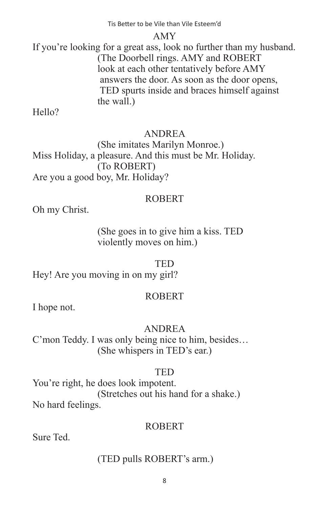#### AMY

If you're looking for a great ass, look no further than my husband. (The Doorbell rings. AMY and ROBERT look at each other tentatively before AMY answers the door. As soon as the door opens, TED spurts inside and braces himself against the wall.)

Hello?

# ANDREA

 (She imitates Marilyn Monroe.) Miss Holiday, a pleasure. And this must be Mr. Holiday. (To ROBERT) Are you a good boy, Mr. Holiday?

# ROBERT

Oh my Christ.

 (She goes in to give him a kiss. TED violently moves on him.)

# TED

Hey! Are you moving in on my girl?

# ROBERT

I hope not.

# ANDREA

C'mon Teddy. I was only being nice to him, besides… (She whispers in TED's ear.)

# TED

You're right, he does look impotent. (Stretches out his hand for a shake.) No hard feelings.

# ROBERT

Sure Ted.

# (TED pulls ROBERT's arm.)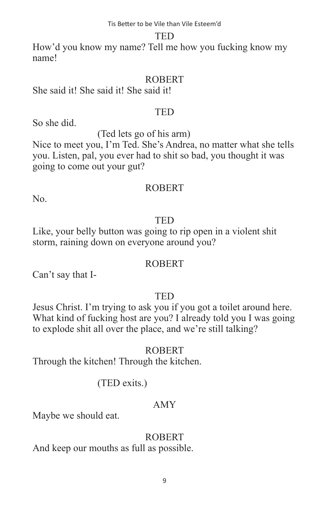#### TED

How'd you know my name? Tell me how you fucking know my name!

#### ROBERT

She said it! She said it! She said it!

#### TED

So she did.

(Ted lets go of his arm)

Nice to meet you, I'm Ted. She's Andrea, no matter what she tells you. Listen, pal, you ever had to shit so bad, you thought it was going to come out your gut?

#### ROBERT

No.

# TED

Like, your belly button was going to rip open in a violent shit storm, raining down on everyone around you?

### ROBERT

Can't say that I-

### **TED**

Jesus Christ. I'm trying to ask you if you got a toilet around here. What kind of fucking host are you? I already told you I was going to explode shit all over the place, and we're still talking?

### ROBERT

Through the kitchen! Through the kitchen.

# (TED exits.)

# AMY

Maybe we should eat.

### ROBERT

And keep our mouths as full as possible.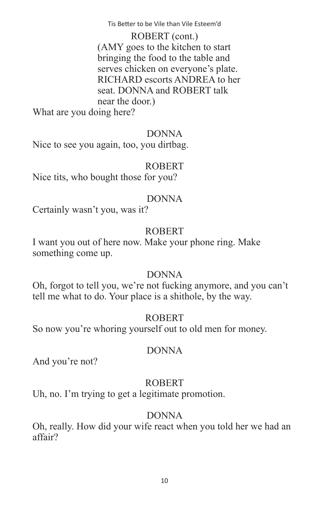ROBERT (cont.) (AMY goes to the kitchen to start bringing the food to the table and serves chicken on everyone's plate. RICHARD escorts ANDREA to her seat. DONNA and ROBERT talk near the door.)

What are you doing here?

#### DONNA

Nice to see you again, too, you dirtbag.

#### ROBERT

Nice tits, who bought those for you?

#### DONNA

Certainly wasn't you, was it?

### ROBERT

I want you out of here now. Make your phone ring. Make something come up.

### DONNA

Oh, forgot to tell you, we're not fucking anymore, and you can't tell me what to do. Your place is a shithole, by the way.

### ROBERT

So now you're whoring yourself out to old men for money.

#### DONNA

And you're not?

### ROBERT

Uh, no. I'm trying to get a legitimate promotion.

# DONNA

Oh, really. How did your wife react when you told her we had an affair?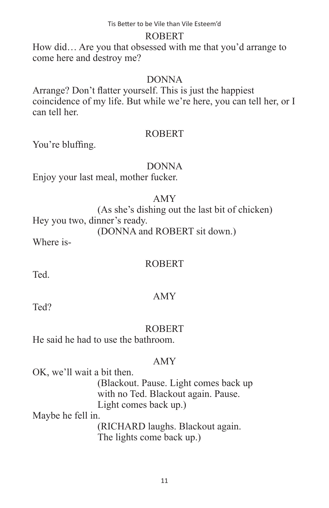#### ROBERT

How did… Are you that obsessed with me that you'd arrange to come here and destroy me?

#### DONNA

Arrange? Don't flatter yourself. This is just the happiest coincidence of my life. But while we're here, you can tell her, or I can tell her.

#### ROBERT

You're bluffing.

#### DONNA

Enjoy your last meal, mother fucker.

#### AMY

 (As she's dishing out the last bit of chicken) Hey you two, dinner's ready. (DONNA and ROBERT sit down.)

Where is-

### ROBERT

**Ted.** 

Ted?

### AMY

ROBERT

He said he had to use the bathroom.

#### AMY

OK, we'll wait a bit then.

 (Blackout. Pause. Light comes back up with no Ted. Blackout again. Pause. Light comes back up.)

Maybe he fell in.

 (RICHARD laughs. Blackout again. The lights come back up.)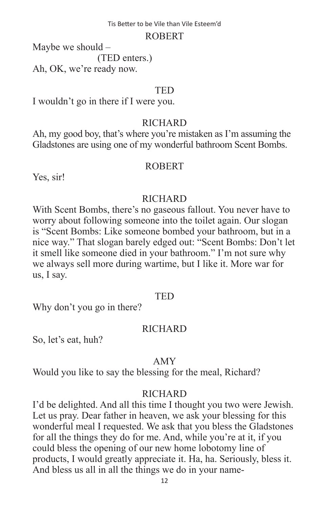#### ROBERT

Maybe we should – (TED enters.) Ah, OK, we're ready now.

#### TED

I wouldn't go in there if I were you.

### RICHARD

Ah, my good boy, that's where you're mistaken as I'm assuming the Gladstones are using one of my wonderful bathroom Scent Bombs.

### ROBERT

Yes, sir!

### **RICHARD**

With Scent Bombs, there's no gaseous fallout. You never have to worry about following someone into the toilet again. Our slogan is "Scent Bombs: Like someone bombed your bathroom, but in a nice way." That slogan barely edged out: "Scent Bombs: Don't let it smell like someone died in your bathroom." I'm not sure why we always sell more during wartime, but I like it. More war for us, I say.

### **TED**

Why don't you go in there?

# **RICHARD**

So, let's eat, huh?

### AMY

Would you like to say the blessing for the meal, Richard?

### **RICHARD**

I'd be delighted. And all this time I thought you two were Jewish. Let us pray. Dear father in heaven, we ask your blessing for this wonderful meal I requested. We ask that you bless the Gladstones for all the things they do for me. And, while you're at it, if you could bless the opening of our new home lobotomy line of products, I would greatly appreciate it. Ha, ha. Seriously, bless it. And bless us all in all the things we do in your name-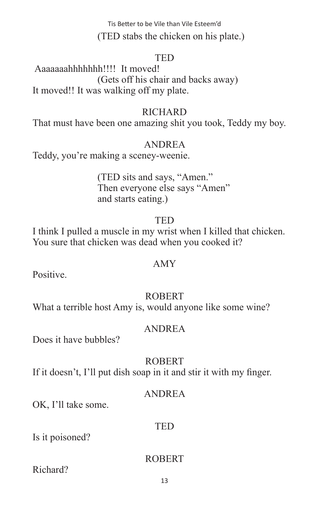Tis Better to be Vile than Vile Esteem'd (TED stabs the chicken on his plate.)

#### TED

 Aaaaaaahhhhhhh!!!! It moved! (Gets off his chair and backs away) It moved!! It was walking off my plate.

#### **RICHARD**

That must have been one amazing shit you took, Teddy my boy.

#### ANDREA

Teddy, you're making a sceney-weenie.

 (TED sits and says, "Amen." Then everyone else says "Amen" and starts eating.)

#### **TFD**

I think I pulled a muscle in my wrist when I killed that chicken. You sure that chicken was dead when you cooked it?

#### AMY

**Positive** 

### ROBERT

What a terrible host Amy is, would anyone like some wine?

#### ANDREA

Does it have bubbles?

#### ROBERT

If it doesn't, I'll put dish soap in it and stir it with my finger.

#### ANDREA

OK, I'll take some.

#### **TED**

Is it poisoned?

### ROBERT

Richard?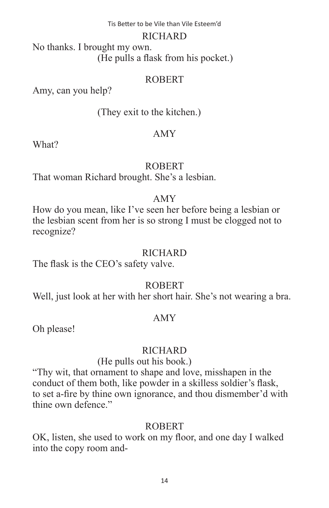#### RICHARD

No thanks. I brought my own. (He pulls a flask from his pocket.)

### ROBERT

Amy, can you help?

(They exit to the kitchen.)

### AMY

What?

# ROBERT

That woman Richard brought. She's a lesbian.

### AMY

How do you mean, like I've seen her before being a lesbian or the lesbian scent from her is so strong I must be clogged not to recognize?

### **RICHARD**

The flask is the CEO's safety valve.

# ROBERT

Well, just look at her with her short hair. She's not wearing a bra.

# AMY

Oh please!

# **RICHARD**

# (He pulls out his book.)

"Thy wit, that ornament to shape and love, misshapen in the conduct of them both, like powder in a skilless soldier's flask, to set a-fire by thine own ignorance, and thou dismember'd with thine own defence."

# ROBERT

OK, listen, she used to work on my floor, and one day I walked into the copy room and-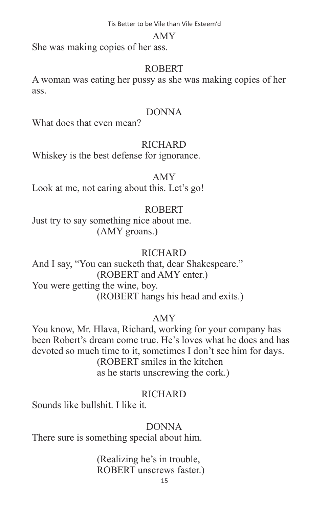#### AMY

She was making copies of her ass.

### ROBERT

A woman was eating her pussy as she was making copies of her ass.

### DONNA

What does that even mean?

### **RICHARD**

Whiskey is the best defense for ignorance.

### AMY

Look at me, not caring about this. Let's go!

# ROBERT

Just try to say something nice about me. (AMY groans.)

# **RICHARD**

And I say, "You can sucketh that, dear Shakespeare." (ROBERT and AMY enter.) You were getting the wine, boy. (ROBERT hangs his head and exits.)

# AMY

You know, Mr. Hlava, Richard, working for your company has been Robert's dream come true. He's loves what he does and has devoted so much time to it, sometimes I don't see him for days. (ROBERT smiles in the kitchen as he starts unscrewing the cork.)

# **RICHARD**

Sounds like bullshit. I like it.

### DONNA

There sure is something special about him.

### (Realizing he's in trouble, ROBERT unscrews faster.)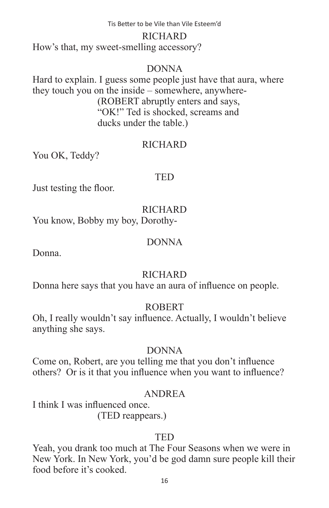#### RICHARD

How's that, my sweet-smelling accessory?

#### DONNA

Hard to explain. I guess some people just have that aura, where they touch you on the inside – somewhere, anywhere- (ROBERT abruptly enters and says, "OK!" Ted is shocked, screams and ducks under the table.)

#### **RICHARD**

You OK, Teddy?

#### TED

Just testing the floor.

**RICHARD** 

You know, Bobby my boy, Dorothy-

#### DONNA

Donna.

### **RICHARD**

Donna here says that you have an aura of influence on people.

### ROBERT

Oh, I really wouldn't say influence. Actually, I wouldn't believe anything she says.

### DONNA

Come on, Robert, are you telling me that you don't influence others? Or is it that you influence when you want to influence?

### ANDREA

I think I was influenced once. (TED reappears.)

### TED

Yeah, you drank too much at The Four Seasons when we were in New York. In New York, you'd be god damn sure people kill their food before it's cooked.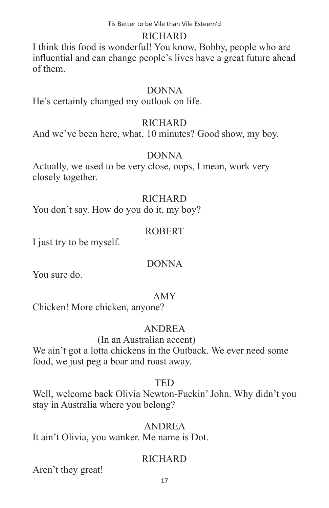### RICHARD

I think this food is wonderful! You know, Bobby, people who are influential and can change people's lives have a great future ahead of them.

### DONNA

He's certainly changed my outlook on life.

### RICHARD

And we've been here, what, 10 minutes? Good show, my boy.

### DONNA

Actually, we used to be very close, oops, I mean, work very closely together.

### RICHARD

You don't say. How do you do it, my boy?

### ROBERT

I just try to be myself.

# DONNA

You sure do.

# AMY

Chicken! More chicken, anyone?

# ANDREA

### (In an Australian accent)

We ain't got a lotta chickens in the Outback. We ever need some food, we just peg a boar and roast away.

#### TED

Well, welcome back Olivia Newton-Fuckin' John. Why didn't you stay in Australia where you belong?

### ANDREA

It ain't Olivia, you wanker. Me name is Dot.

# **RICHARD**

Aren't they great!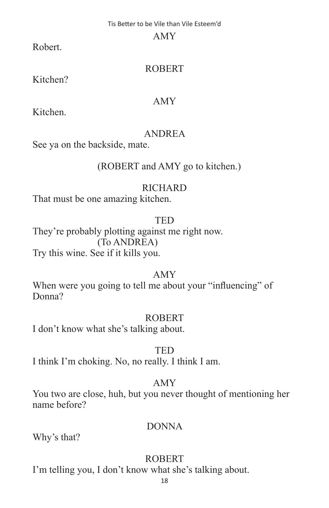#### AMY

Robert.

# ROBERT

Kitchen?

# AMY

Kitchen.

# ANDREA

See ya on the backside, mate.

# (ROBERT and AMY go to kitchen.)

# **RICHARD**

That must be one amazing kitchen.

# **TED**

They're probably plotting against me right now. (To ANDREA) Try this wine. See if it kills you.

# AMY

When were you going to tell me about your "influencing" of Donna?

# ROBERT

I don't know what she's talking about.

# **TED**

I think I'm choking. No, no really. I think I am.

# AMY

You two are close, huh, but you never thought of mentioning her name before?

# DONNA

Why's that?

# ROBERT

I'm telling you, I don't know what she's talking about.

18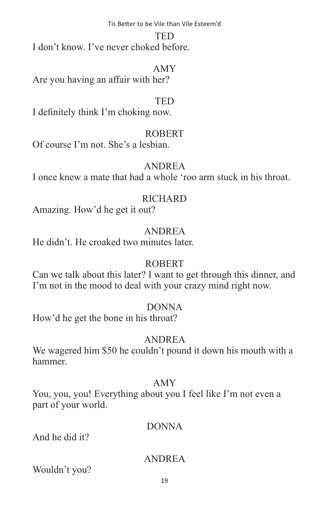#### TED

I don't know. I've never choked before.

#### AMY

Are you having an affair with her?

#### **TED**

I definitely think I'm choking now.

#### ROBERT

Of course I'm not. She's a lesbian.

# ANDREA

I once knew a mate that had a whole 'roo arm stuck in his throat.

#### **RICHARD**

Amazing. How'd he get it out?

### ANDREA

He didn't. He croaked two minutes later.

### ROBERT

Can we talk about this later? I want to get through this dinner, and I'm not in the mood to deal with your crazy mind right now.

### DONNA

How'd he get the bone in his throat?

# ANDREA

We wagered him \$50 he couldn't pound it down his mouth with a hammer.

### AMY

You, you, you! Everything about you I feel like I'm not even a part of your world.

### DONNA

And he did it?

### ANDREA

Wouldn't you?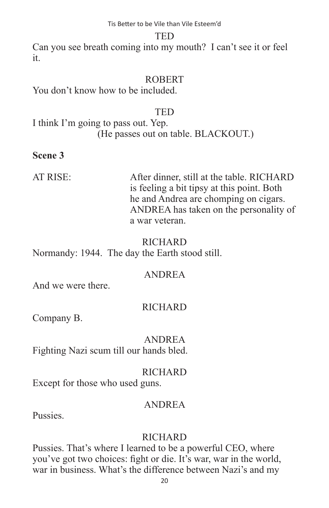#### TED

Can you see breath coming into my mouth? I can't see it or feel it.

#### ROBERT

You don't know how to be included.

#### TED

I think I'm going to pass out. Yep. (He passes out on table. BLACKOUT.)

#### **Scene 3**

AT RISE: After dinner, still at the table. RICHARD is feeling a bit tipsy at this point. Both he and Andrea are chomping on cigars. ANDREA has taken on the personality of a war veteran.

#### **RICHARD**

Normandy: 1944. The day the Earth stood still.

### ANDREA

And we were there.

### RICHARD

Company B.

### ANDREA

Fighting Nazi scum till our hands bled.

#### **RICHARD**

Except for those who used guns.

#### ANDREA

**Pussies**.

### **RICHARD**

Pussies. That's where I learned to be a powerful CEO, where you've got two choices: fight or die. It's war, war in the world, war in business. What's the difference between Nazi's and my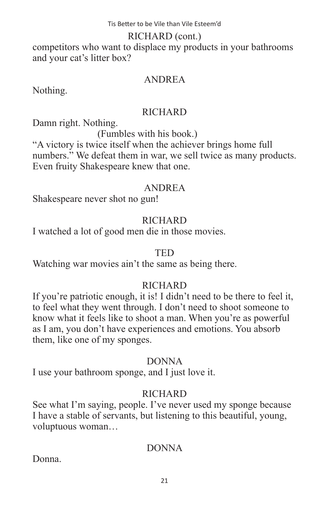#### RICHARD (cont.)

competitors who want to displace my products in your bathrooms and your cat's litter box?

### ANDREA

Nothing.

#### RICHARD

Damn right. Nothing.

(Fumbles with his book.)

"A victory is twice itself when the achiever brings home full numbers." We defeat them in war, we sell twice as many products. Even fruity Shakespeare knew that one.

### ANDREA

Shakespeare never shot no gun!

# **RICHARD**

I watched a lot of good men die in those movies.

#### TED

Watching war movies ain't the same as being there.

### **RICHARD**

If you're patriotic enough, it is! I didn't need to be there to feel it, to feel what they went through. I don't need to shoot someone to know what it feels like to shoot a man. When you're as powerful as I am, you don't have experiences and emotions. You absorb them, like one of my sponges.

### DONNA

I use your bathroom sponge, and I just love it.

# **RICHARD**

See what I'm saying, people. I've never used my sponge because I have a stable of servants, but listening to this beautiful, young, voluptuous woman…

# DONNA

Donna.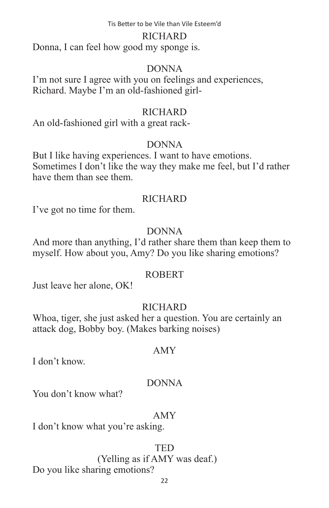#### RICHARD

Donna, I can feel how good my sponge is.

#### DONNA

I'm not sure I agree with you on feelings and experiences, Richard. Maybe I'm an old-fashioned girl-

#### **RICHARD**

An old-fashioned girl with a great rack-

### DONNA

But I like having experiences. I want to have emotions. Sometimes I don't like the way they make me feel, but I'd rather have them than see them.

### **RICHARD**

I've got no time for them.

# DONNA

And more than anything, I'd rather share them than keep them to myself. How about you, Amy? Do you like sharing emotions?

### ROBERT

Just leave her alone, OK!

# **RICHARD**

Whoa, tiger, she just asked her a question. You are certainly an attack dog, Bobby boy. (Makes barking noises)

### AMY

I don't know.

### DONNA

You don't know what?

### AMY

I don't know what you're asking.

# **TED**

 (Yelling as if AMY was deaf.) Do you like sharing emotions?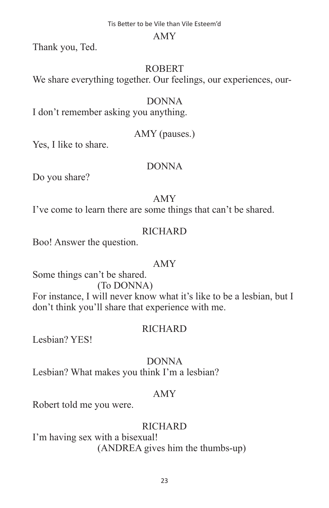#### AMY

Thank you, Ted.

#### ROBERT

We share everything together. Our feelings, our experiences, our-

#### DONNA

I don't remember asking you anything.

### AMY (pauses.)

Yes, I like to share.

#### DONNA

Do you share?

#### AMY

I've come to learn there are some things that can't be shared.

### **RICHARD**

Boo! Answer the question.

#### AMY

Some things can't be shared.

#### (To DONNA)

For instance, I will never know what it's like to be a lesbian, but I don't think you'll share that experience with me.

#### **RICHARD**

Lesbian? YES!

### DONNA

Lesbian? What makes you think I'm a lesbian?

#### AMY

Robert told me you were.

### **RICHARD**

I'm having sex with a bisexual! (ANDREA gives him the thumbs-up)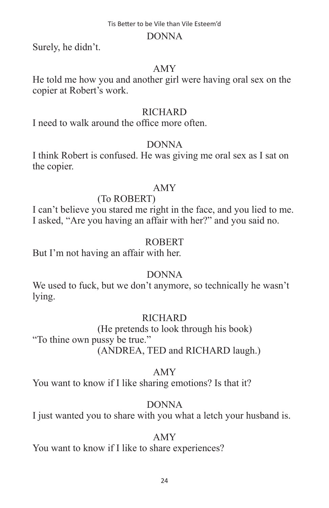#### DONNA

Surely, he didn't.

### AMY

He told me how you and another girl were having oral sex on the copier at Robert's work.

### **RICHARD**

I need to walk around the office more often.

# DONNA

I think Robert is confused. He was giving me oral sex as I sat on the copier.

# AMY

# (To ROBERT)

I can't believe you stared me right in the face, and you lied to me. I asked, "Are you having an affair with her?" and you said no.

# ROBERT

But I'm not having an affair with her.

# DONNA

We used to fuck, but we don't anymore, so technically he wasn't lying.

# **RICHARD**

 (He pretends to look through his book) "To thine own pussy be true." (ANDREA, TED and RICHARD laugh.)

### AMY

You want to know if I like sharing emotions? Is that it?

# DONNA

I just wanted you to share with you what a letch your husband is.

# AMY

You want to know if I like to share experiences?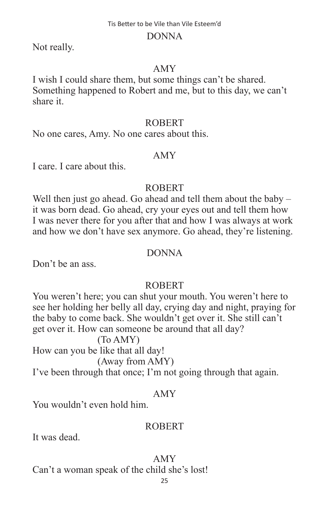#### DONNA

Not really.

#### AMY

I wish I could share them, but some things can't be shared. Something happened to Robert and me, but to this day, we can't share it.

#### ROBERT

No one cares, Amy. No one cares about this.

#### AMY

I care. I care about this.

#### ROBERT

Well then just go ahead. Go ahead and tell them about the baby – it was born dead. Go ahead, cry your eyes out and tell them how I was never there for you after that and how I was always at work and how we don't have sex anymore. Go ahead, they're listening.

#### DONNA

Don't be an ass.

#### ROBERT

You weren't here; you can shut your mouth. You weren't here to see her holding her belly all day, crying day and night, praying for the baby to come back. She wouldn't get over it. She still can't get over it. How can someone be around that all day?

#### (To AMY)

How can you be like that all day!

(Away from AMY)

I've been through that once; I'm not going through that again.

#### AMY

You wouldn't even hold him.

#### ROBERT

It was dead.

#### AMY

Can't a woman speak of the child she's lost!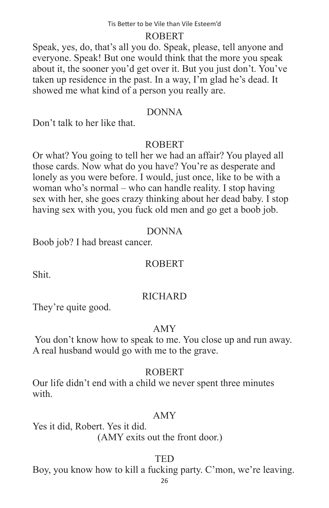#### **ROBERT**

Speak, yes, do, that's all you do. Speak, please, tell anyone and everyone. Speak! But one would think that the more you speak about it, the sooner you'd get over it. But you just don't. You've taken up residence in the past. In a way, I'm glad he's dead. It showed me what kind of a person you really are.

#### DONNA

Don't talk to her like that.

#### ROBERT

Or what? You going to tell her we had an affair? You played all those cards. Now what do you have? You're as desperate and lonely as you were before. I would, just once, like to be with a woman who's normal – who can handle reality. I stop having sex with her, she goes crazy thinking about her dead baby. I stop having sex with you, you fuck old men and go get a boob job.

#### DONNA

Boob job? I had breast cancer.

#### ROBERT

Shit.

#### **RICHARD**

They're quite good.

#### AMY

 You don't know how to speak to me. You close up and run away. A real husband would go with me to the grave.

#### ROBERT

Our life didn't end with a child we never spent three minutes with.

#### AMY

Yes it did, Robert. Yes it did. (AMY exits out the front door.)

#### **TED**

Boy, you know how to kill a fucking party. C'mon, we're leaving.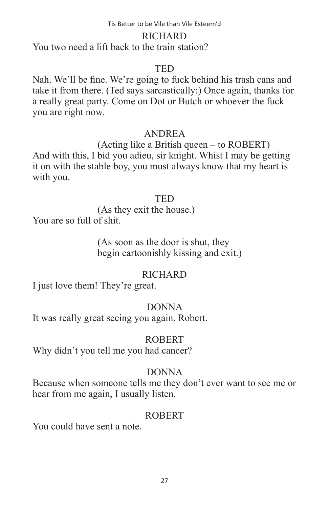#### RICHARD

You two need a lift back to the train station?

### **TED**

Nah. We'll be fine. We're going to fuck behind his trash cans and take it from there. (Ted says sarcastically:) Once again, thanks for a really great party. Come on Dot or Butch or whoever the fuck you are right now.

### ANDREA

 (Acting like a British queen – to ROBERT) And with this, I bid you adieu, sir knight. Whist I may be getting it on with the stable boy, you must always know that my heart is with you.

#### TED

 (As they exit the house.) You are so full of shit.

### (As soon as the door is shut, they begin cartoonishly kissing and exit.)

### **RICHARD**

I just love them! They're great.

# DONNA

It was really great seeing you again, Robert.

### ROBERT

Why didn't you tell me you had cancer?

# DONNA

Because when someone tells me they don't ever want to see me or hear from me again, I usually listen.

### **ROBERT**

You could have sent a note.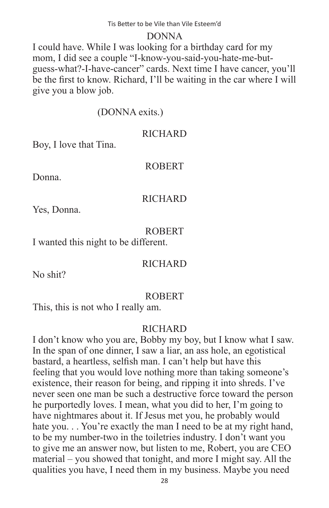#### DONNA

I could have. While I was looking for a birthday card for my mom, I did see a couple "I-know-you-said-you-hate-me-butguess-what?-I-have-cancer" cards. Next time I have cancer, you'll be the first to know. Richard, I'll be waiting in the car where I will give you a blow job.

# (DONNA exits.)

#### **RICHARD**

Boy, I love that Tina.

### ROBERT

Donna.

### **RICHARD**

Yes, Donna.

#### ROBERT

I wanted this night to be different.

### **RICHARD**

No shit?

# ROBERT

This, this is not who I really am.

### **RICHARD**

I don't know who you are, Bobby my boy, but I know what I saw. In the span of one dinner, I saw a liar, an ass hole, an egotistical bastard, a heartless, selfish man. I can't help but have this feeling that you would love nothing more than taking someone's existence, their reason for being, and ripping it into shreds. I've never seen one man be such a destructive force toward the person he purportedly loves. I mean, what you did to her, I'm going to have nightmares about it. If Jesus met you, he probably would hate you... You're exactly the man I need to be at my right hand, to be my number-two in the toiletries industry. I don't want you to give me an answer now, but listen to me, Robert, you are CEO material – you showed that tonight, and more I might say. All the qualities you have, I need them in my business. Maybe you need